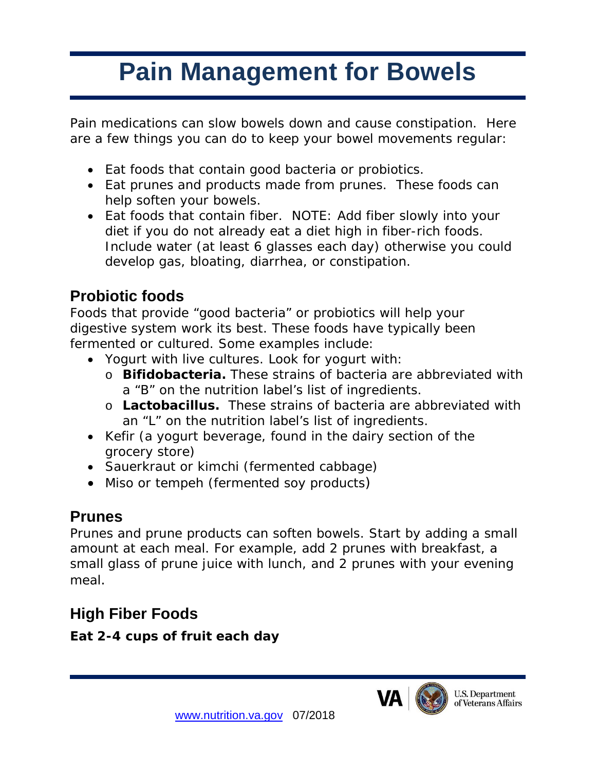# **Pain Management for Bowels**

Pain medications can slow bowels down and cause constipation. Here are a few things you can do to keep your bowel movements regular:

- Eat foods that contain good bacteria or probiotics.
- Eat prunes and products made from prunes. These foods can help soften your bowels.
- Eat foods that contain fiber. NOTE: Add fiber slowly into your diet if you do not already eat a diet high in fiber-rich foods. Include water (at least 6 glasses each day) otherwise you could develop gas, bloating, diarrhea, or constipation.

## **Probiotic foods**

Foods that provide "good bacteria" or probiotics will help your digestive system work its best. These foods have typically been fermented or cultured. Some examples include:

- Yogurt with live cultures. Look for yogurt with:
	- o **Bifidobacteria.** These strains of bacteria are abbreviated with a "B" on the nutrition label's list of ingredients.
	- o **Lactobacillus.** These strains of bacteria are abbreviated with an "L" on the nutrition label's list of ingredients.
- Kefir (a yogurt beverage, found in the dairy section of the grocery store)
- Sauerkraut or kimchi (fermented cabbage)
- Miso or tempeh (fermented soy products)

### **Prunes**

Prunes and prune products can soften bowels. Start by adding a small amount at each meal. For example, add 2 prunes with breakfast, a small glass of prune juice with lunch, and 2 prunes with your evening meal.

## **High Fiber Foods**

**Eat 2-4 cups of fruit each day**

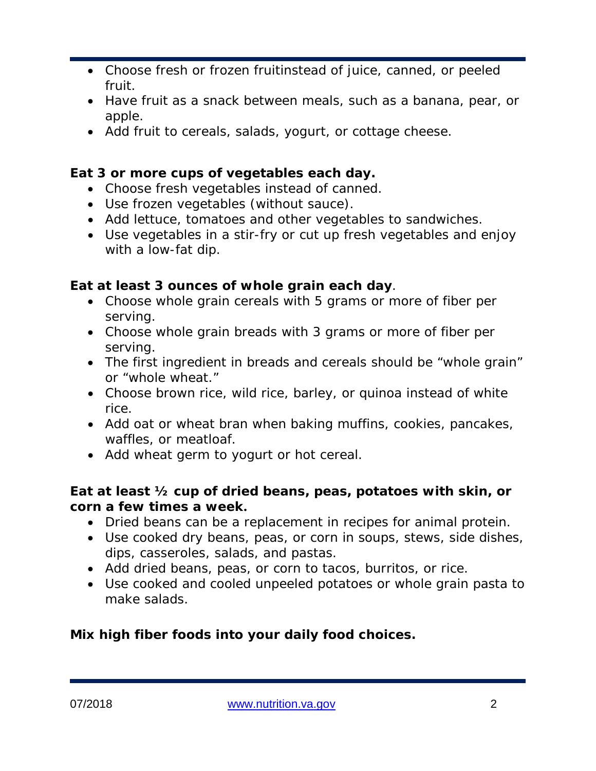- Choose fresh or frozen fruitinstead of juice, canned, or peeled fruit.
- Have fruit as a snack between meals, such as a banana, pear, or apple.
- Add fruit to cereals, salads, yogurt, or cottage cheese.

#### **Eat 3 or more cups of vegetables each day.**

- Choose fresh vegetables instead of canned.
- Use frozen vegetables (without sauce).
- Add lettuce, tomatoes and other vegetables to sandwiches.
- Use vegetables in a stir-fry or cut up fresh vegetables and enjoy with a low-fat dip.

#### **Eat at least 3 ounces of whole grain each day**.

- Choose whole grain cereals with 5 grams or more of fiber per serving.
- Choose whole grain breads with 3 grams or more of fiber per serving.
- The first ingredient in breads and cereals should be "whole grain" or "whole wheat."
- Choose brown rice, wild rice, barley, or quinoa instead of white rice.
- Add oat or wheat bran when baking muffins, cookies, pancakes, waffles, or meatloaf.
- Add wheat germ to yogurt or hot cereal.

#### **Eat at least ½ cup of dried beans, peas, potatoes with skin, or corn a few times a week.**

- Dried beans can be a replacement in recipes for animal protein.
- Use cooked dry beans, peas, or corn in soups, stews, side dishes, dips, casseroles, salads, and pastas.
- Add dried beans, peas, or corn to tacos, burritos, or rice.
- Use cooked and cooled unpeeled potatoes or whole grain pasta to make salads.

#### **Mix high fiber foods into your daily food choices.**